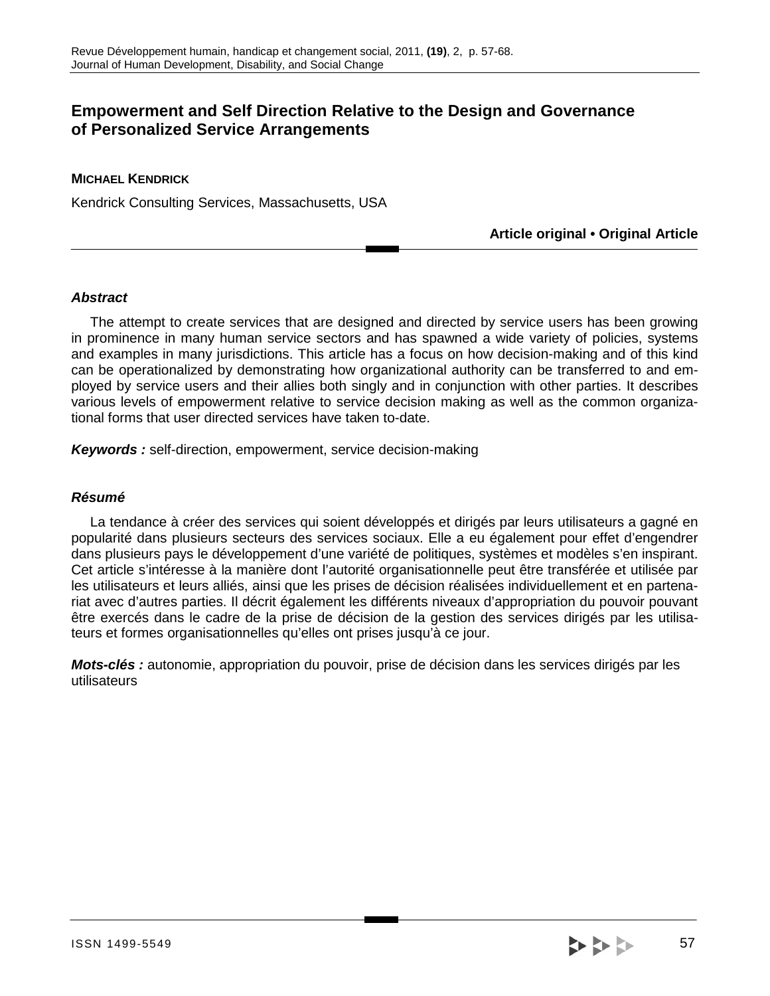# **Empowerment and Self Direction Relative to the Design and Governance of Personalized Service Arrangements**

# **MICHAEL KENDRICK**

Kendrick Consulting Services, Massachusetts, USA

**Article original • Original Article** 

# **Abstract**

 The attempt to create services that are designed and directed by service users has been growing in prominence in many human service sectors and has spawned a wide variety of policies, systems and examples in many jurisdictions. This article has a focus on how decision-making and of this kind can be operationalized by demonstrating how organizational authority can be transferred to and employed by service users and their allies both singly and in conjunction with other parties. It describes various levels of empowerment relative to service decision making as well as the common organizational forms that user directed services have taken to-date.

**Keywords :** self-direction, empowerment, service decision-making

#### **Résumé**

 La tendance à créer des services qui soient développés et dirigés par leurs utilisateurs a gagné en popularité dans plusieurs secteurs des services sociaux. Elle a eu également pour effet d'engendrer dans plusieurs pays le développement d'une variété de politiques, systèmes et modèles s'en inspirant. Cet article s'intéresse à la manière dont l'autorité organisationnelle peut être transférée et utilisée par les utilisateurs et leurs alliés, ainsi que les prises de décision réalisées individuellement et en partenariat avec d'autres parties. Il décrit également les différents niveaux d'appropriation du pouvoir pouvant être exercés dans le cadre de la prise de décision de la gestion des services dirigés par les utilisateurs et formes organisationnelles qu'elles ont prises jusqu'à ce jour.

**Mots-clés :** autonomie, appropriation du pouvoir, prise de décision dans les services dirigés par les utilisateurs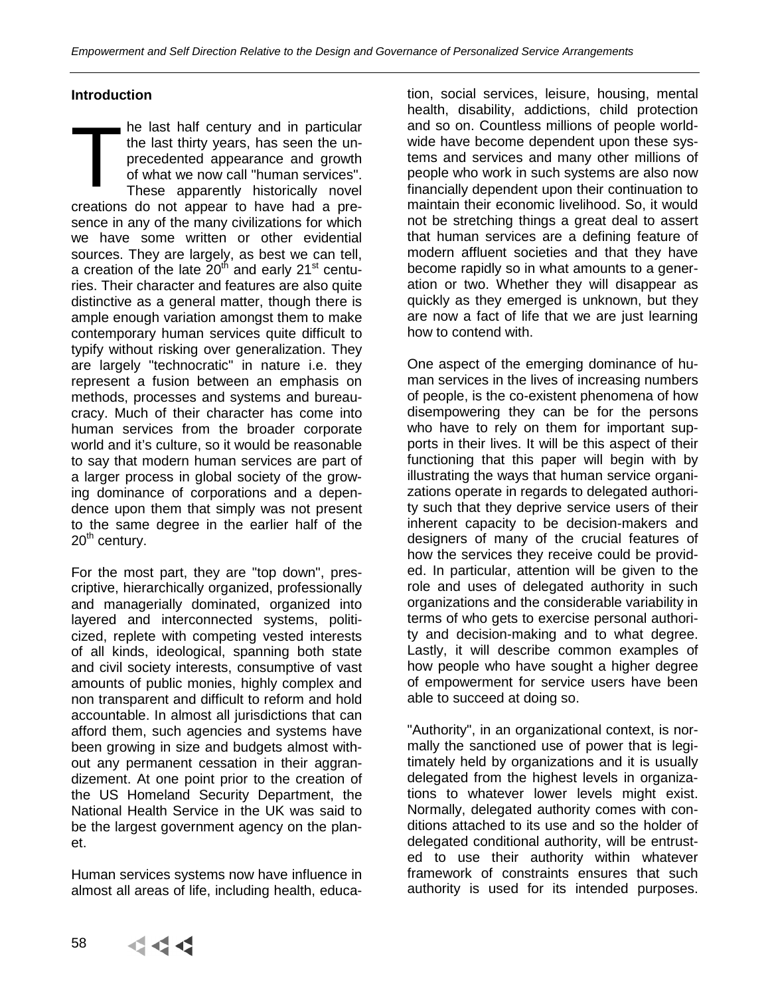# **Introduction**

he last half century and in particular the last thirty years, has seen the unprecedented appearance and growth of what we now call "human services". These apparently historically novel creations do not appear to have had a presence in any of the many civilizations for which we have some written or other evidential sources. They are largely, as best we can tell, a creation of the late  $20<sup>th</sup>$  and early 21<sup>st</sup> centuries. Their character and features are also quite distinctive as a general matter, though there is ample enough variation amongst them to make contemporary human services quite difficult to typify without risking over generalization. They are largely "technocratic" in nature i.e. they represent a fusion between an emphasis on methods, processes and systems and bureaucracy. Much of their character has come into human services from the broader corporate world and it's culture, so it would be reasonable to say that modern human services are part of a larger process in global society of the growing dominance of corporations and a dependence upon them that simply was not present to the same degree in the earlier half of the  $20<sup>th</sup>$  century. T

For the most part, they are "top down", prescriptive, hierarchically organized, professionally and managerially dominated, organized into layered and interconnected systems, politicized, replete with competing vested interests of all kinds, ideological, spanning both state and civil society interests, consumptive of vast amounts of public monies, highly complex and non transparent and difficult to reform and hold accountable. In almost all jurisdictions that can afford them, such agencies and systems have been growing in size and budgets almost without any permanent cessation in their aggrandizement. At one point prior to the creation of the US Homeland Security Department, the National Health Service in the UK was said to be the largest government agency on the planet.

Human services systems now have influence in almost all areas of life, including health, educa-

tion, social services, leisure, housing, mental health, disability, addictions, child protection and so on. Countless millions of people worldwide have become dependent upon these systems and services and many other millions of people who work in such systems are also now financially dependent upon their continuation to maintain their economic livelihood. So, it would not be stretching things a great deal to assert that human services are a defining feature of modern affluent societies and that they have become rapidly so in what amounts to a generation or two. Whether they will disappear as quickly as they emerged is unknown, but they are now a fact of life that we are just learning how to contend with.

One aspect of the emerging dominance of human services in the lives of increasing numbers of people, is the co-existent phenomena of how disempowering they can be for the persons who have to rely on them for important supports in their lives. It will be this aspect of their functioning that this paper will begin with by illustrating the ways that human service organizations operate in regards to delegated authority such that they deprive service users of their inherent capacity to be decision-makers and designers of many of the crucial features of how the services they receive could be provided. In particular, attention will be given to the role and uses of delegated authority in such organizations and the considerable variability in terms of who gets to exercise personal authority and decision-making and to what degree. Lastly, it will describe common examples of how people who have sought a higher degree of empowerment for service users have been able to succeed at doing so.

"Authority", in an organizational context, is normally the sanctioned use of power that is legitimately held by organizations and it is usually delegated from the highest levels in organizations to whatever lower levels might exist. Normally, delegated authority comes with conditions attached to its use and so the holder of delegated conditional authority, will be entrusted to use their authority within whatever framework of constraints ensures that such authority is used for its intended purposes.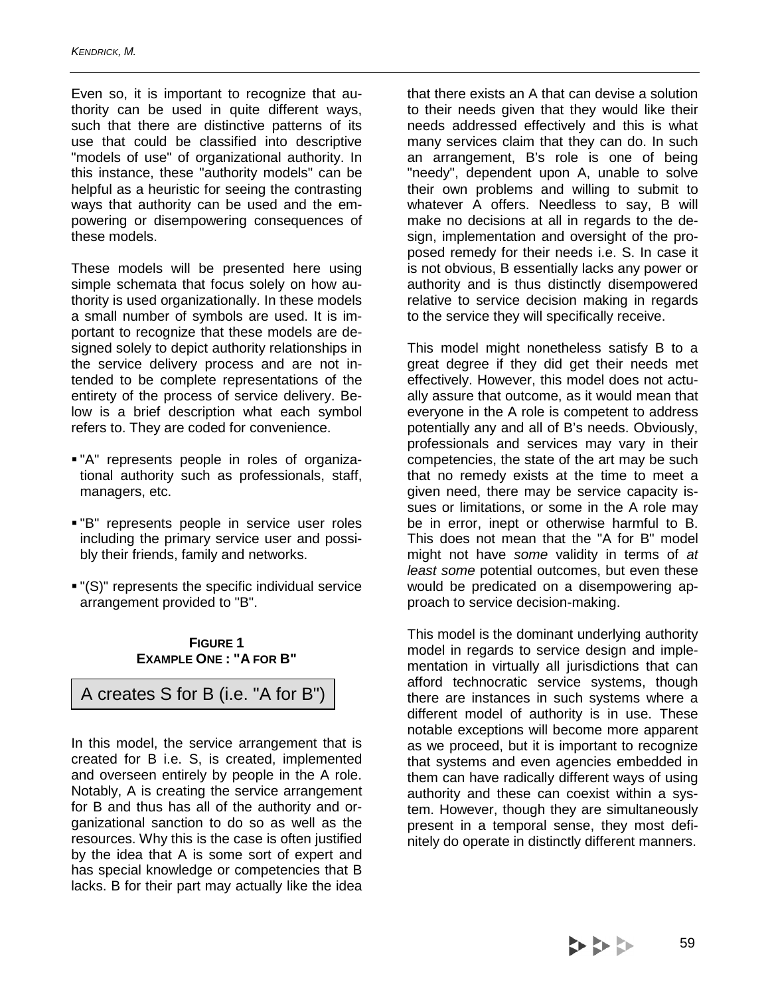Even so, it is important to recognize that authority can be used in quite different ways, such that there are distinctive patterns of its use that could be classified into descriptive "models of use" of organizational authority. In this instance, these "authority models" can be helpful as a heuristic for seeing the contrasting ways that authority can be used and the empowering or disempowering consequences of these models.

These models will be presented here using simple schemata that focus solely on how authority is used organizationally. In these models a small number of symbols are used. It is important to recognize that these models are designed solely to depict authority relationships in the service delivery process and are not intended to be complete representations of the entirety of the process of service delivery. Below is a brief description what each symbol refers to. They are coded for convenience.

- "A" represents people in roles of organizational authority such as professionals, staff, managers, etc.
- "B" represents people in service user roles including the primary service user and possibly their friends, family and networks.
- "(S)" represents the specific individual service arrangement provided to "B".

#### **FIGURE 1 EXAMPLE ONE : "A FOR B"**

A creates S for B (i.e. "A for B")

In this model, the service arrangement that is created for B i.e. S, is created, implemented and overseen entirely by people in the A role. Notably, A is creating the service arrangement for B and thus has all of the authority and organizational sanction to do so as well as the resources. Why this is the case is often justified by the idea that A is some sort of expert and has special knowledge or competencies that B lacks. B for their part may actually like the idea

that there exists an A that can devise a solution to their needs given that they would like their needs addressed effectively and this is what many services claim that they can do. In such an arrangement, B's role is one of being "needy", dependent upon A, unable to solve their own problems and willing to submit to whatever A offers. Needless to say, B will make no decisions at all in regards to the design, implementation and oversight of the proposed remedy for their needs i.e. S. In case it is not obvious, B essentially lacks any power or authority and is thus distinctly disempowered relative to service decision making in regards to the service they will specifically receive.

This model might nonetheless satisfy B to a great degree if they did get their needs met effectively. However, this model does not actually assure that outcome, as it would mean that everyone in the A role is competent to address potentially any and all of B's needs. Obviously, professionals and services may vary in their competencies, the state of the art may be such that no remedy exists at the time to meet a given need, there may be service capacity issues or limitations, or some in the A role may be in error, inept or otherwise harmful to B. This does not mean that the "A for B" model might not have some validity in terms of at least some potential outcomes, but even these would be predicated on a disempowering approach to service decision-making.

This model is the dominant underlying authority model in regards to service design and implementation in virtually all jurisdictions that can afford technocratic service systems, though there are instances in such systems where a different model of authority is in use. These notable exceptions will become more apparent as we proceed, but it is important to recognize that systems and even agencies embedded in them can have radically different ways of using authority and these can coexist within a system. However, though they are simultaneously present in a temporal sense, they most definitely do operate in distinctly different manners.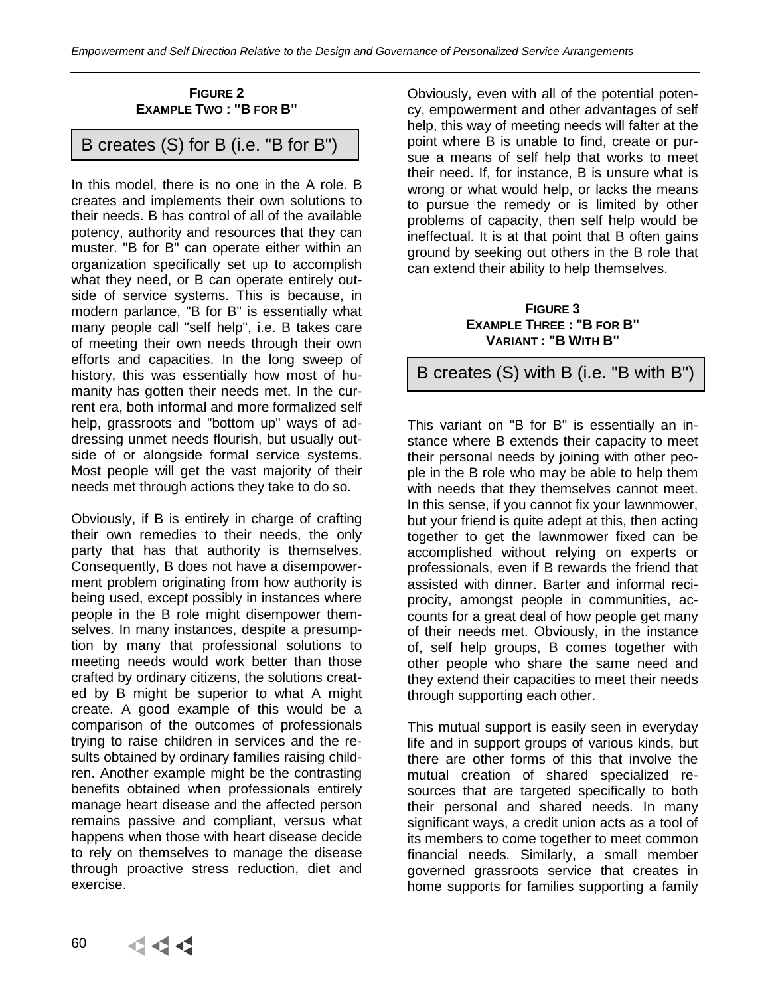# **FIGURE 2 EXAMPLE TWO : "B FOR B"**

B creates (S) for B (i.e. "B for B")

In this model, there is no one in the A role. B creates and implements their own solutions to their needs. B has control of all of the available potency, authority and resources that they can muster. "B for B" can operate either within an organization specifically set up to accomplish what they need, or B can operate entirely outside of service systems. This is because, in modern parlance, "B for B" is essentially what many people call "self help", i.e. B takes care of meeting their own needs through their own efforts and capacities. In the long sweep of history, this was essentially how most of humanity has gotten their needs met. In the current era, both informal and more formalized self help, grassroots and "bottom up" ways of addressing unmet needs flourish, but usually outside of or alongside formal service systems. Most people will get the vast majority of their needs met through actions they take to do so.

Obviously, if B is entirely in charge of crafting their own remedies to their needs, the only party that has that authority is themselves. Consequently, B does not have a disempowerment problem originating from how authority is being used, except possibly in instances where people in the B role might disempower themselves. In many instances, despite a presumption by many that professional solutions to meeting needs would work better than those crafted by ordinary citizens, the solutions created by B might be superior to what A might create. A good example of this would be a comparison of the outcomes of professionals trying to raise children in services and the results obtained by ordinary families raising children. Another example might be the contrasting benefits obtained when professionals entirely manage heart disease and the affected person remains passive and compliant, versus what happens when those with heart disease decide to rely on themselves to manage the disease through proactive stress reduction, diet and exercise.

Obviously, even with all of the potential potency, empowerment and other advantages of self help, this way of meeting needs will falter at the point where B is unable to find, create or pursue a means of self help that works to meet their need. If, for instance, B is unsure what is wrong or what would help, or lacks the means to pursue the remedy or is limited by other problems of capacity, then self help would be ineffectual. It is at that point that B often gains ground by seeking out others in the B role that can extend their ability to help themselves.

#### **FIGURE 3 EXAMPLE THREE : "B FOR B" VARIANT : "B WITH B"**

B creates (S) with B (i.e. "B with B")

This variant on "B for B" is essentially an instance where B extends their capacity to meet their personal needs by joining with other people in the B role who may be able to help them with needs that they themselves cannot meet. In this sense, if you cannot fix your lawnmower, but your friend is quite adept at this, then acting together to get the lawnmower fixed can be accomplished without relying on experts or professionals, even if B rewards the friend that assisted with dinner. Barter and informal reciprocity, amongst people in communities, accounts for a great deal of how people get many of their needs met. Obviously, in the instance of, self help groups, B comes together with other people who share the same need and they extend their capacities to meet their needs through supporting each other.

This mutual support is easily seen in everyday life and in support groups of various kinds, but there are other forms of this that involve the mutual creation of shared specialized resources that are targeted specifically to both their personal and shared needs. In many significant ways, a credit union acts as a tool of its members to come together to meet common financial needs. Similarly, a small member governed grassroots service that creates in home supports for families supporting a family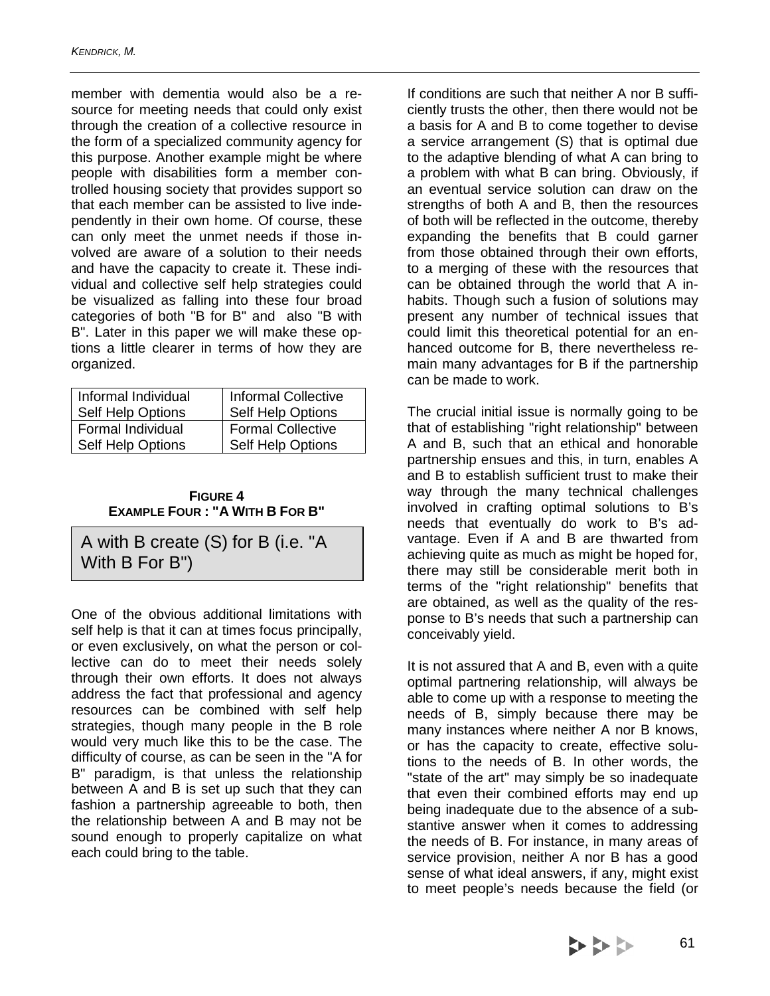member with dementia would also be a resource for meeting needs that could only exist through the creation of a collective resource in the form of a specialized community agency for this purpose. Another example might be where people with disabilities form a member controlled housing society that provides support so that each member can be assisted to live independently in their own home. Of course, these can only meet the unmet needs if those involved are aware of a solution to their needs and have the capacity to create it. These individual and collective self help strategies could be visualized as falling into these four broad categories of both "B for B" and also "B with B". Later in this paper we will make these options a little clearer in terms of how they are organized.

| Informal Individual      | <b>Informal Collective</b> |
|--------------------------|----------------------------|
| Self Help Options        | Self Help Options          |
| Formal Individual        | <b>Formal Collective</b>   |
| <b>Self Help Options</b> | Self Help Options          |

| <b>FIGURE 4</b>                       |  |
|---------------------------------------|--|
| <b>EXAMPLE FOUR: "A WITH B FOR B"</b> |  |

A with B create (S) for B (i.e. "A With B For B")

One of the obvious additional limitations with self help is that it can at times focus principally, or even exclusively, on what the person or collective can do to meet their needs solely through their own efforts. It does not always address the fact that professional and agency resources can be combined with self help strategies, though many people in the B role would very much like this to be the case. The difficulty of course, as can be seen in the "A for B" paradigm, is that unless the relationship between A and B is set up such that they can fashion a partnership agreeable to both, then the relationship between A and B may not be sound enough to properly capitalize on what each could bring to the table.

If conditions are such that neither A nor B sufficiently trusts the other, then there would not be a basis for A and B to come together to devise a service arrangement (S) that is optimal due to the adaptive blending of what A can bring to a problem with what B can bring. Obviously, if an eventual service solution can draw on the strengths of both A and B, then the resources of both will be reflected in the outcome, thereby expanding the benefits that B could garner from those obtained through their own efforts, to a merging of these with the resources that can be obtained through the world that A inhabits. Though such a fusion of solutions may present any number of technical issues that could limit this theoretical potential for an enhanced outcome for B, there nevertheless remain many advantages for B if the partnership can be made to work.

The crucial initial issue is normally going to be that of establishing "right relationship" between A and B, such that an ethical and honorable partnership ensues and this, in turn, enables A and B to establish sufficient trust to make their way through the many technical challenges involved in crafting optimal solutions to B's needs that eventually do work to B's advantage. Even if A and B are thwarted from achieving quite as much as might be hoped for, there may still be considerable merit both in terms of the "right relationship" benefits that are obtained, as well as the quality of the response to B's needs that such a partnership can conceivably yield.

It is not assured that A and B, even with a quite optimal partnering relationship, will always be able to come up with a response to meeting the needs of B, simply because there may be many instances where neither A nor B knows, or has the capacity to create, effective solutions to the needs of B. In other words, the "state of the art" may simply be so inadequate that even their combined efforts may end up being inadequate due to the absence of a substantive answer when it comes to addressing the needs of B. For instance, in many areas of service provision, neither A nor B has a good sense of what ideal answers, if any, might exist to meet people's needs because the field (or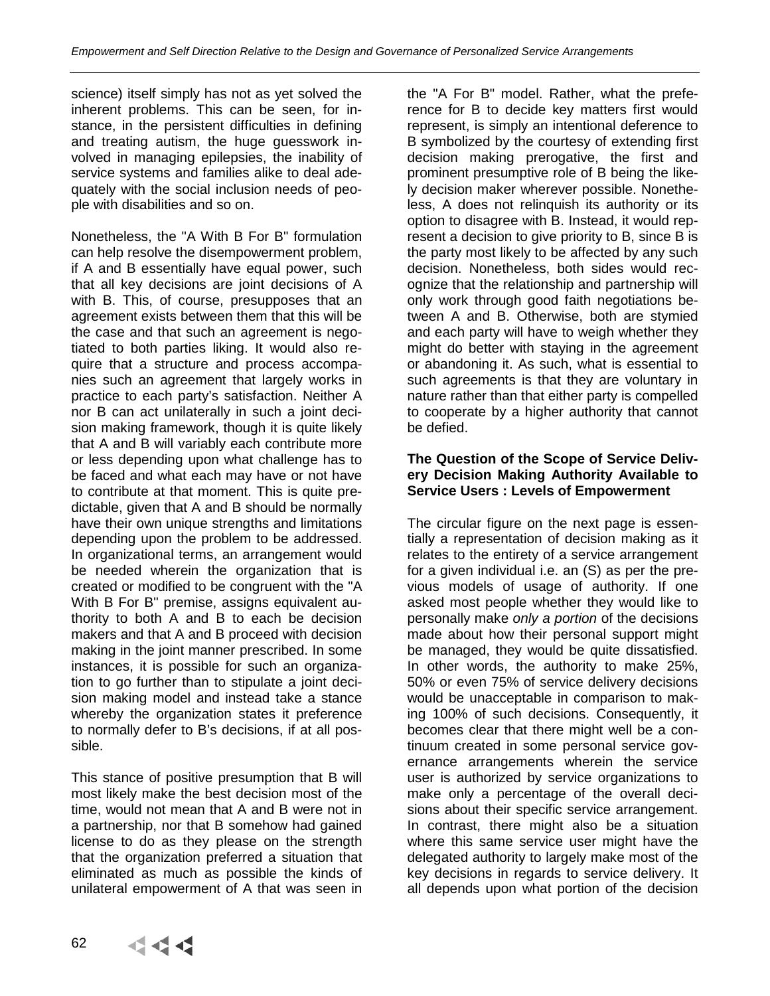science) itself simply has not as yet solved the inherent problems. This can be seen, for instance, in the persistent difficulties in defining and treating autism, the huge guesswork involved in managing epilepsies, the inability of service systems and families alike to deal adequately with the social inclusion needs of people with disabilities and so on.

Nonetheless, the "A With B For B" formulation can help resolve the disempowerment problem, if A and B essentially have equal power, such that all key decisions are joint decisions of A with B. This, of course, presupposes that an agreement exists between them that this will be the case and that such an agreement is negotiated to both parties liking. It would also require that a structure and process accompanies such an agreement that largely works in practice to each party's satisfaction. Neither A nor B can act unilaterally in such a joint decision making framework, though it is quite likely that A and B will variably each contribute more or less depending upon what challenge has to be faced and what each may have or not have to contribute at that moment. This is quite predictable, given that A and B should be normally have their own unique strengths and limitations depending upon the problem to be addressed. In organizational terms, an arrangement would be needed wherein the organization that is created or modified to be congruent with the "A With B For B" premise, assigns equivalent authority to both A and B to each be decision makers and that A and B proceed with decision making in the joint manner prescribed. In some instances, it is possible for such an organization to go further than to stipulate a joint decision making model and instead take a stance whereby the organization states it preference to normally defer to B's decisions, if at all possible.

This stance of positive presumption that B will most likely make the best decision most of the time, would not mean that A and B were not in a partnership, nor that B somehow had gained license to do as they please on the strength that the organization preferred a situation that eliminated as much as possible the kinds of unilateral empowerment of A that was seen in

the "A For B" model. Rather, what the preference for B to decide key matters first would represent, is simply an intentional deference to B symbolized by the courtesy of extending first decision making prerogative, the first and prominent presumptive role of B being the likely decision maker wherever possible. Nonetheless, A does not relinquish its authority or its option to disagree with B. Instead, it would represent a decision to give priority to B, since B is the party most likely to be affected by any such decision. Nonetheless, both sides would recognize that the relationship and partnership will only work through good faith negotiations between A and B. Otherwise, both are stymied and each party will have to weigh whether they might do better with staying in the agreement or abandoning it. As such, what is essential to such agreements is that they are voluntary in nature rather than that either party is compelled to cooperate by a higher authority that cannot be defied.

# **The Question of the Scope of Service Delivery Decision Making Authority Available to Service Users : Levels of Empowerment**

The circular figure on the next page is essentially a representation of decision making as it relates to the entirety of a service arrangement for a given individual i.e. an (S) as per the previous models of usage of authority. If one asked most people whether they would like to personally make only a portion of the decisions made about how their personal support might be managed, they would be quite dissatisfied. In other words, the authority to make 25%, 50% or even 75% of service delivery decisions would be unacceptable in comparison to making 100% of such decisions. Consequently, it becomes clear that there might well be a continuum created in some personal service governance arrangements wherein the service user is authorized by service organizations to make only a percentage of the overall decisions about their specific service arrangement. In contrast, there might also be a situation where this same service user might have the delegated authority to largely make most of the key decisions in regards to service delivery. It all depends upon what portion of the decision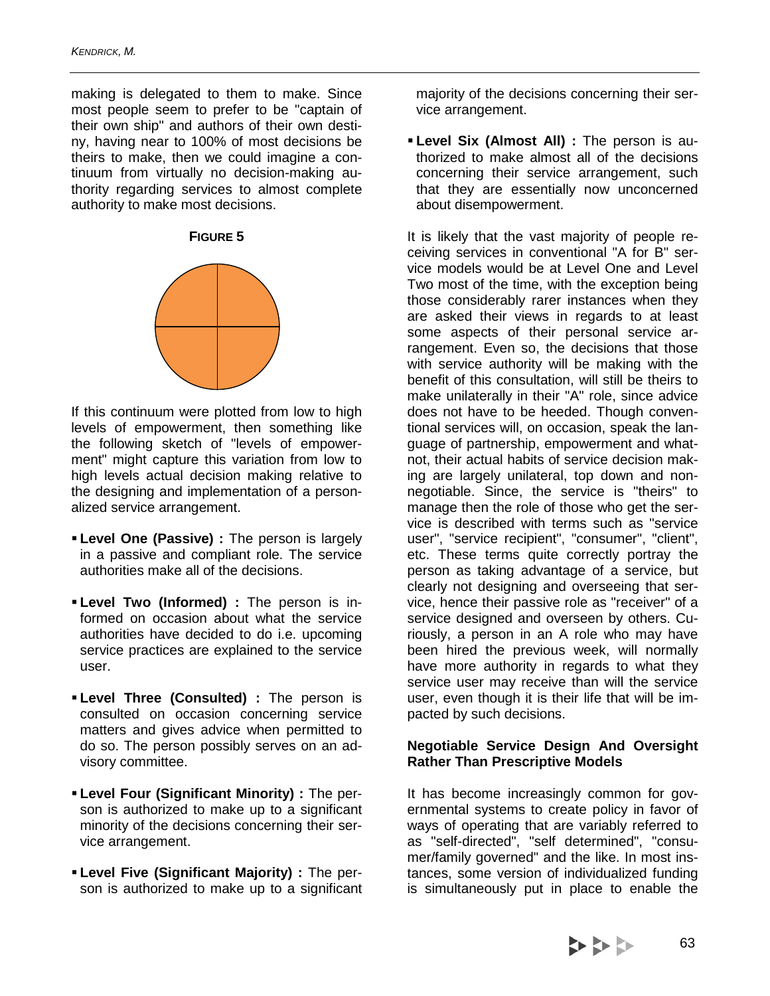making is delegated to them to make. Since most people seem to prefer to be "captain of their own ship" and authors of their own destiny, having near to 100% of most decisions be theirs to make, then we could imagine a continuum from virtually no decision-making authority regarding services to almost complete authority to make most decisions.

**FIGURE 5** 



If this continuum were plotted from low to high levels of empowerment, then something like the following sketch of "levels of empowerment" might capture this variation from low to high levels actual decision making relative to the designing and implementation of a personalized service arrangement.

- **Level One (Passive) :** The person is largely in a passive and compliant role. The service authorities make all of the decisions.
- **Level Two (Informed) :** The person is informed on occasion about what the service authorities have decided to do i.e. upcoming service practices are explained to the service user.
- **Level Three (Consulted) :** The person is consulted on occasion concerning service matters and gives advice when permitted to do so. The person possibly serves on an advisory committee.
- **Level Four (Significant Minority) :** The person is authorized to make up to a significant minority of the decisions concerning their service arrangement.
- **Level Five (Significant Majority) :** The person is authorized to make up to a significant

majority of the decisions concerning their service arrangement.

 **Level Six (Almost All) :** The person is authorized to make almost all of the decisions concerning their service arrangement, such that they are essentially now unconcerned about disempowerment.

It is likely that the vast majority of people receiving services in conventional "A for B" service models would be at Level One and Level Two most of the time, with the exception being those considerably rarer instances when they are asked their views in regards to at least some aspects of their personal service arrangement. Even so, the decisions that those with service authority will be making with the benefit of this consultation, will still be theirs to make unilaterally in their "A" role, since advice does not have to be heeded. Though conventional services will, on occasion, speak the language of partnership, empowerment and whatnot, their actual habits of service decision making are largely unilateral, top down and nonnegotiable. Since, the service is "theirs" to manage then the role of those who get the service is described with terms such as "service user", "service recipient", "consumer", "client", etc. These terms quite correctly portray the person as taking advantage of a service, but clearly not designing and overseeing that service, hence their passive role as "receiver" of a service designed and overseen by others. Curiously, a person in an A role who may have been hired the previous week, will normally have more authority in regards to what they service user may receive than will the service user, even though it is their life that will be impacted by such decisions.

# **Negotiable Service Design And Oversight Rather Than Prescriptive Models**

It has become increasingly common for governmental systems to create policy in favor of ways of operating that are variably referred to as "self-directed", "self determined", "consumer/family governed" and the like. In most instances, some version of individualized funding is simultaneously put in place to enable the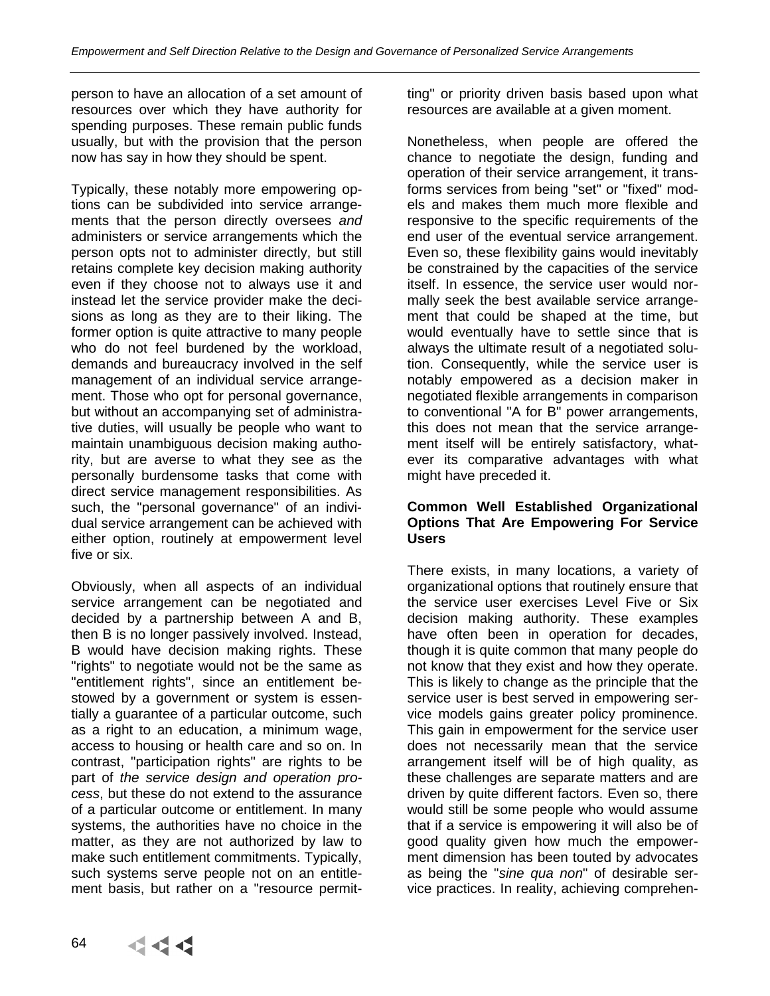person to have an allocation of a set amount of resources over which they have authority for spending purposes. These remain public funds usually, but with the provision that the person now has say in how they should be spent.

Typically, these notably more empowering options can be subdivided into service arrangements that the person directly oversees and administers or service arrangements which the person opts not to administer directly, but still retains complete key decision making authority even if they choose not to always use it and instead let the service provider make the decisions as long as they are to their liking. The former option is quite attractive to many people who do not feel burdened by the workload, demands and bureaucracy involved in the self management of an individual service arrangement. Those who opt for personal governance, but without an accompanying set of administrative duties, will usually be people who want to maintain unambiguous decision making authority, but are averse to what they see as the personally burdensome tasks that come with direct service management responsibilities. As such, the "personal governance" of an individual service arrangement can be achieved with either option, routinely at empowerment level five or six.

Obviously, when all aspects of an individual service arrangement can be negotiated and decided by a partnership between A and B, then B is no longer passively involved. Instead, B would have decision making rights. These "rights" to negotiate would not be the same as "entitlement rights", since an entitlement bestowed by a government or system is essentially a guarantee of a particular outcome, such as a right to an education, a minimum wage, access to housing or health care and so on. In contrast, "participation rights" are rights to be part of the service design and operation process, but these do not extend to the assurance of a particular outcome or entitlement. In many systems, the authorities have no choice in the matter, as they are not authorized by law to make such entitlement commitments. Typically, such systems serve people not on an entitlement basis, but rather on a "resource permitting" or priority driven basis based upon what resources are available at a given moment.

Nonetheless, when people are offered the chance to negotiate the design, funding and operation of their service arrangement, it transforms services from being "set" or "fixed" models and makes them much more flexible and responsive to the specific requirements of the end user of the eventual service arrangement. Even so, these flexibility gains would inevitably be constrained by the capacities of the service itself. In essence, the service user would normally seek the best available service arrangement that could be shaped at the time, but would eventually have to settle since that is always the ultimate result of a negotiated solution. Consequently, while the service user is notably empowered as a decision maker in negotiated flexible arrangements in comparison to conventional "A for B" power arrangements, this does not mean that the service arrangement itself will be entirely satisfactory, whatever its comparative advantages with what might have preceded it.

#### **Common Well Established Organizational Options That Are Empowering For Service Users**

There exists, in many locations, a variety of organizational options that routinely ensure that the service user exercises Level Five or Six decision making authority. These examples have often been in operation for decades, though it is quite common that many people do not know that they exist and how they operate. This is likely to change as the principle that the service user is best served in empowering service models gains greater policy prominence. This gain in empowerment for the service user does not necessarily mean that the service arrangement itself will be of high quality, as these challenges are separate matters and are driven by quite different factors. Even so, there would still be some people who would assume that if a service is empowering it will also be of good quality given how much the empowerment dimension has been touted by advocates as being the "sine qua non" of desirable service practices. In reality, achieving comprehen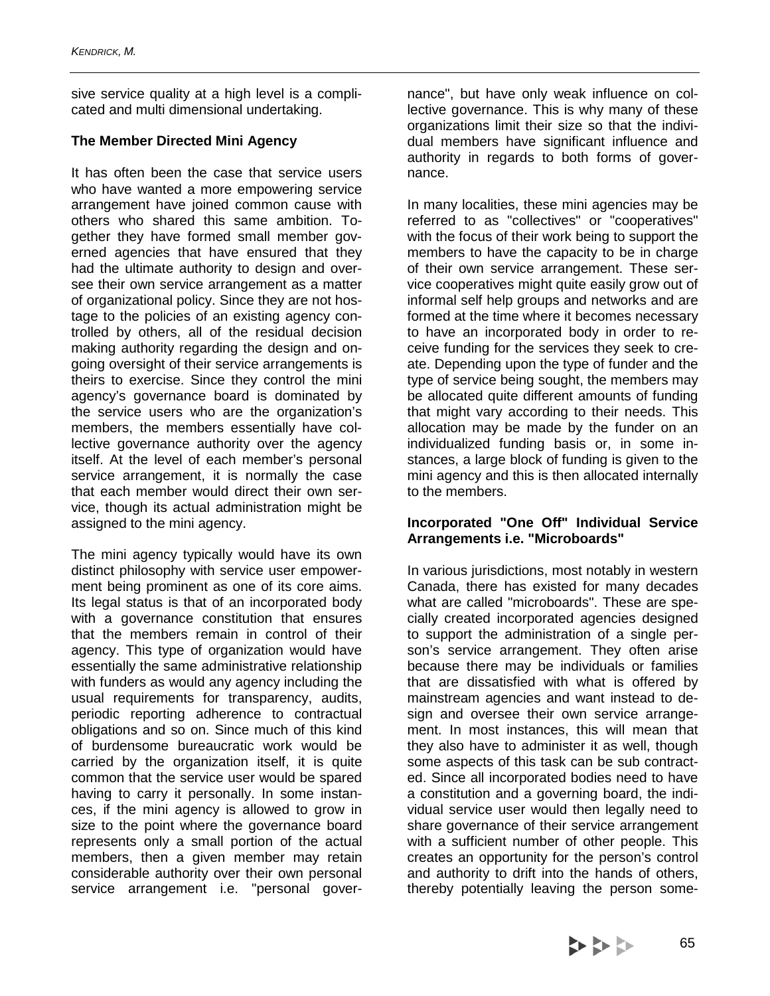sive service quality at a high level is a complicated and multi dimensional undertaking.

# **The Member Directed Mini Agency**

It has often been the case that service users who have wanted a more empowering service arrangement have joined common cause with others who shared this same ambition. Together they have formed small member governed agencies that have ensured that they had the ultimate authority to design and oversee their own service arrangement as a matter of organizational policy. Since they are not hostage to the policies of an existing agency controlled by others, all of the residual decision making authority regarding the design and ongoing oversight of their service arrangements is theirs to exercise. Since they control the mini agency's governance board is dominated by the service users who are the organization's members, the members essentially have collective governance authority over the agency itself. At the level of each member's personal service arrangement, it is normally the case that each member would direct their own service, though its actual administration might be assigned to the mini agency.

The mini agency typically would have its own distinct philosophy with service user empowerment being prominent as one of its core aims. Its legal status is that of an incorporated body with a governance constitution that ensures that the members remain in control of their agency. This type of organization would have essentially the same administrative relationship with funders as would any agency including the usual requirements for transparency, audits, periodic reporting adherence to contractual obligations and so on. Since much of this kind of burdensome bureaucratic work would be carried by the organization itself, it is quite common that the service user would be spared having to carry it personally. In some instances, if the mini agency is allowed to grow in size to the point where the governance board represents only a small portion of the actual members, then a given member may retain considerable authority over their own personal service arrangement i.e. "personal gover-

nance", but have only weak influence on collective governance. This is why many of these organizations limit their size so that the individual members have significant influence and authority in regards to both forms of governance.

In many localities, these mini agencies may be referred to as "collectives" or "cooperatives" with the focus of their work being to support the members to have the capacity to be in charge of their own service arrangement. These service cooperatives might quite easily grow out of informal self help groups and networks and are formed at the time where it becomes necessary to have an incorporated body in order to receive funding for the services they seek to create. Depending upon the type of funder and the type of service being sought, the members may be allocated quite different amounts of funding that might vary according to their needs. This allocation may be made by the funder on an individualized funding basis or, in some instances, a large block of funding is given to the mini agency and this is then allocated internally to the members.

#### **Incorporated "One Off" Individual Service Arrangements i.e. "Microboards"**

In various jurisdictions, most notably in western Canada, there has existed for many decades what are called "microboards". These are specially created incorporated agencies designed to support the administration of a single person's service arrangement. They often arise because there may be individuals or families that are dissatisfied with what is offered by mainstream agencies and want instead to design and oversee their own service arrangement. In most instances, this will mean that they also have to administer it as well, though some aspects of this task can be sub contracted. Since all incorporated bodies need to have a constitution and a governing board, the individual service user would then legally need to share governance of their service arrangement with a sufficient number of other people. This creates an opportunity for the person's control and authority to drift into the hands of others, thereby potentially leaving the person some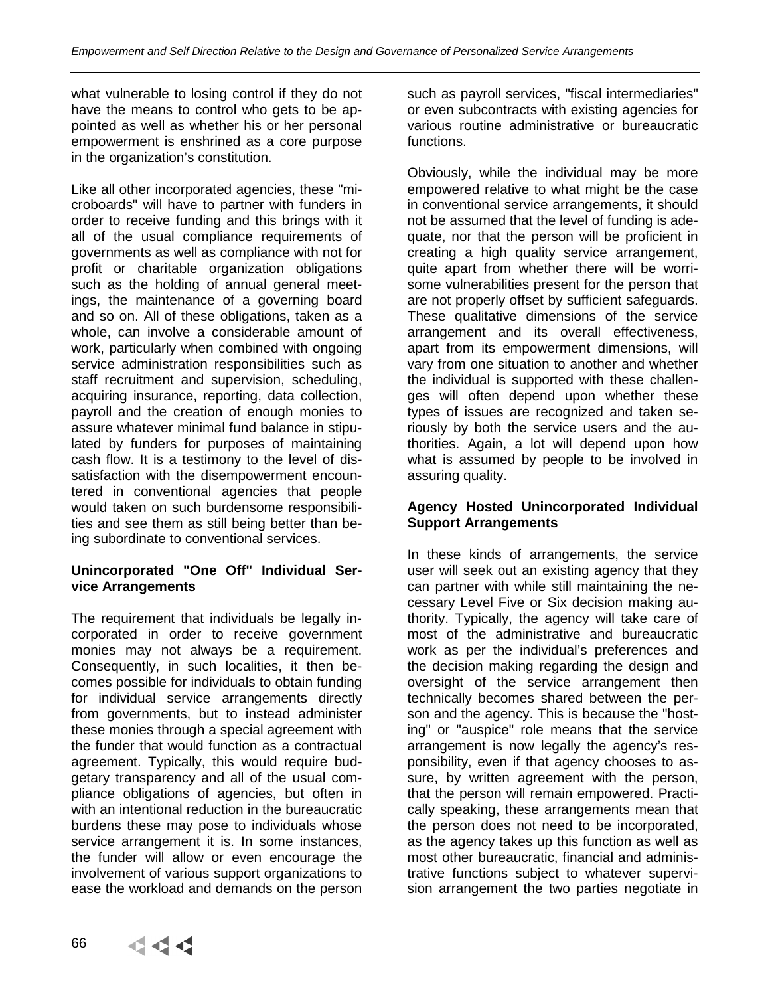what vulnerable to losing control if they do not have the means to control who gets to be appointed as well as whether his or her personal empowerment is enshrined as a core purpose in the organization's constitution.

Like all other incorporated agencies, these "microboards" will have to partner with funders in order to receive funding and this brings with it all of the usual compliance requirements of governments as well as compliance with not for profit or charitable organization obligations such as the holding of annual general meetings, the maintenance of a governing board and so on. All of these obligations, taken as a whole, can involve a considerable amount of work, particularly when combined with ongoing service administration responsibilities such as staff recruitment and supervision, scheduling, acquiring insurance, reporting, data collection, payroll and the creation of enough monies to assure whatever minimal fund balance in stipulated by funders for purposes of maintaining cash flow. It is a testimony to the level of dissatisfaction with the disempowerment encountered in conventional agencies that people would taken on such burdensome responsibilities and see them as still being better than being subordinate to conventional services.

# **Unincorporated "One Off" Individual Service Arrangements**

The requirement that individuals be legally incorporated in order to receive government monies may not always be a requirement. Consequently, in such localities, it then becomes possible for individuals to obtain funding for individual service arrangements directly from governments, but to instead administer these monies through a special agreement with the funder that would function as a contractual agreement. Typically, this would require budgetary transparency and all of the usual compliance obligations of agencies, but often in with an intentional reduction in the bureaucratic burdens these may pose to individuals whose service arrangement it is. In some instances, the funder will allow or even encourage the involvement of various support organizations to ease the workload and demands on the person

such as payroll services, "fiscal intermediaries" or even subcontracts with existing agencies for various routine administrative or bureaucratic functions.

Obviously, while the individual may be more empowered relative to what might be the case in conventional service arrangements, it should not be assumed that the level of funding is adequate, nor that the person will be proficient in creating a high quality service arrangement, quite apart from whether there will be worrisome vulnerabilities present for the person that are not properly offset by sufficient safeguards. These qualitative dimensions of the service arrangement and its overall effectiveness, apart from its empowerment dimensions, will vary from one situation to another and whether the individual is supported with these challenges will often depend upon whether these types of issues are recognized and taken seriously by both the service users and the authorities. Again, a lot will depend upon how what is assumed by people to be involved in assuring quality.

# **Agency Hosted Unincorporated Individual Support Arrangements**

In these kinds of arrangements, the service user will seek out an existing agency that they can partner with while still maintaining the necessary Level Five or Six decision making authority. Typically, the agency will take care of most of the administrative and bureaucratic work as per the individual's preferences and the decision making regarding the design and oversight of the service arrangement then technically becomes shared between the person and the agency. This is because the "hosting" or "auspice" role means that the service arrangement is now legally the agency's responsibility, even if that agency chooses to assure, by written agreement with the person, that the person will remain empowered. Practically speaking, these arrangements mean that the person does not need to be incorporated, as the agency takes up this function as well as most other bureaucratic, financial and administrative functions subject to whatever supervision arrangement the two parties negotiate in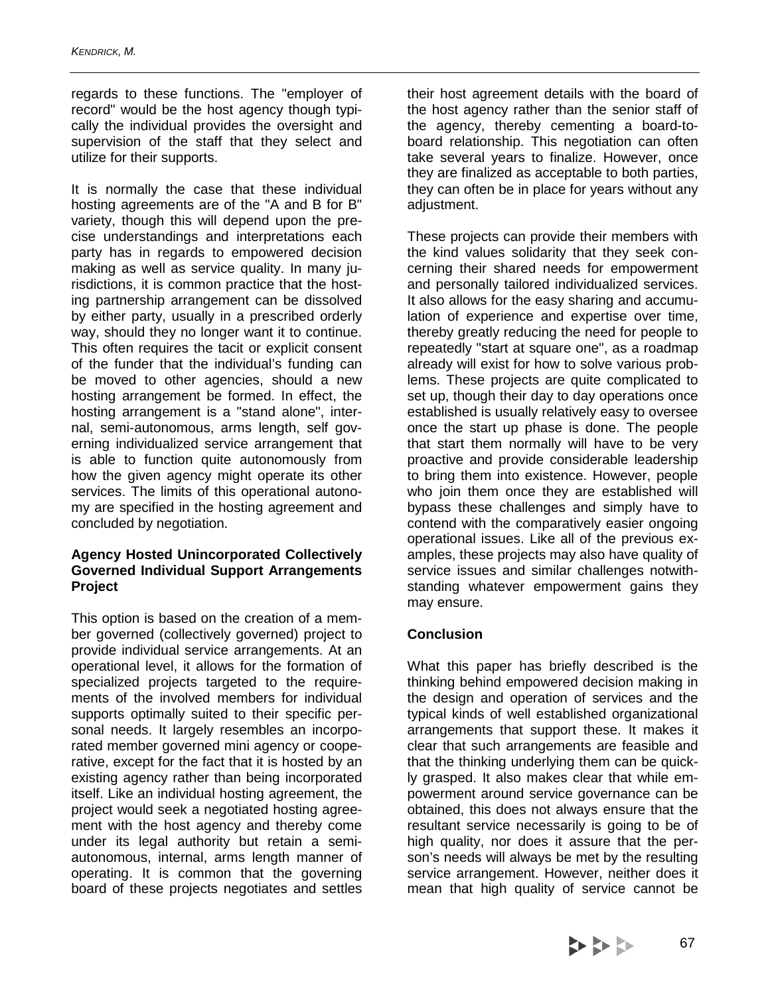regards to these functions. The "employer of record" would be the host agency though typically the individual provides the oversight and supervision of the staff that they select and utilize for their supports.

It is normally the case that these individual hosting agreements are of the "A and B for B" variety, though this will depend upon the precise understandings and interpretations each party has in regards to empowered decision making as well as service quality. In many jurisdictions, it is common practice that the hosting partnership arrangement can be dissolved by either party, usually in a prescribed orderly way, should they no longer want it to continue. This often requires the tacit or explicit consent of the funder that the individual's funding can be moved to other agencies, should a new hosting arrangement be formed. In effect, the hosting arrangement is a "stand alone", internal, semi-autonomous, arms length, self governing individualized service arrangement that is able to function quite autonomously from how the given agency might operate its other services. The limits of this operational autonomy are specified in the hosting agreement and concluded by negotiation.

#### **Agency Hosted Unincorporated Collectively Governed Individual Support Arrangements Project**

This option is based on the creation of a member governed (collectively governed) project to provide individual service arrangements. At an operational level, it allows for the formation of specialized projects targeted to the requirements of the involved members for individual supports optimally suited to their specific personal needs. It largely resembles an incorporated member governed mini agency or cooperative, except for the fact that it is hosted by an existing agency rather than being incorporated itself. Like an individual hosting agreement, the project would seek a negotiated hosting agreement with the host agency and thereby come under its legal authority but retain a semiautonomous, internal, arms length manner of operating. It is common that the governing board of these projects negotiates and settles

their host agreement details with the board of the host agency rather than the senior staff of the agency, thereby cementing a board-toboard relationship. This negotiation can often take several years to finalize. However, once they are finalized as acceptable to both parties, they can often be in place for years without any adjustment.

These projects can provide their members with the kind values solidarity that they seek concerning their shared needs for empowerment and personally tailored individualized services. It also allows for the easy sharing and accumulation of experience and expertise over time, thereby greatly reducing the need for people to repeatedly "start at square one", as a roadmap already will exist for how to solve various problems. These projects are quite complicated to set up, though their day to day operations once established is usually relatively easy to oversee once the start up phase is done. The people that start them normally will have to be very proactive and provide considerable leadership to bring them into existence. However, people who join them once they are established will bypass these challenges and simply have to contend with the comparatively easier ongoing operational issues. Like all of the previous examples, these projects may also have quality of service issues and similar challenges notwithstanding whatever empowerment gains they may ensure.

# **Conclusion**

What this paper has briefly described is the thinking behind empowered decision making in the design and operation of services and the typical kinds of well established organizational arrangements that support these. It makes it clear that such arrangements are feasible and that the thinking underlying them can be quickly grasped. It also makes clear that while empowerment around service governance can be obtained, this does not always ensure that the resultant service necessarily is going to be of high quality, nor does it assure that the person's needs will always be met by the resulting service arrangement. However, neither does it mean that high quality of service cannot be